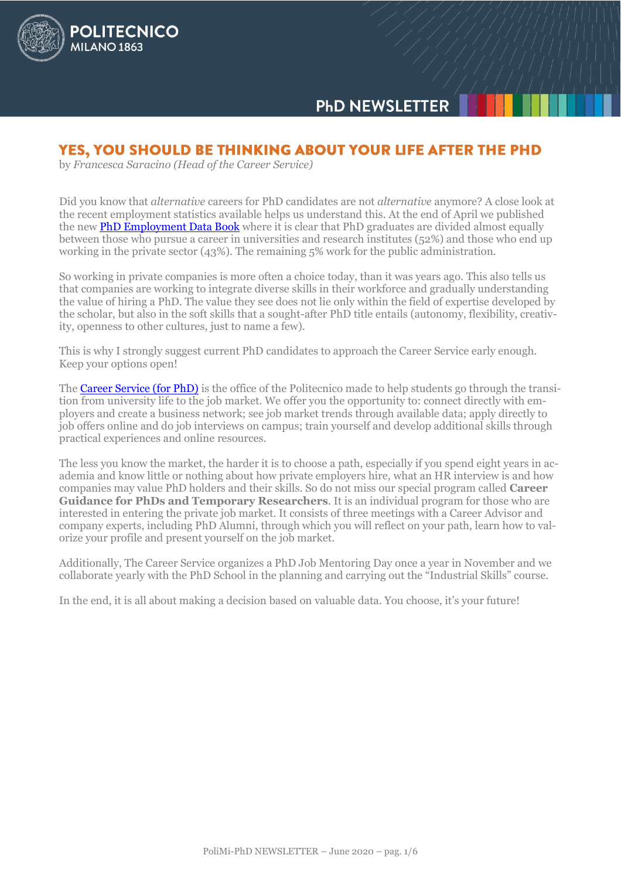

# **PHD NEWSLETTER**

### YES, YOU SHOULD BE THINKING ABOUT YOUR LIFE AFTER THE PHD

by *Francesca Saracino (Head of the Career Service)*

Did you know that *alternative* careers for PhD candidates are not *alternative* anymore? A close look at the recent employment statistics available helps us understand this. At the end of April we published the new **PhD Employment Data Book** where it is clear that PhD graduates are divided almost equally between those who pursue a career in universities and research institutes (52%) and those who end up working in the private sector (43%). The remaining 5% work for the public administration.

So working in private companies is more often a choice today, than it was years ago. This also tells us that companies are working to integrate diverse skills in their workforce and gradually understanding the value of hiring a PhD. The value they see does not lie only within the field of expertise developed by the scholar, but also in the soft skills that a sought-after PhD title entails (autonomy, flexibility, creativity, openness to other cultures, just to name a few).

This is why I strongly suggest current PhD candidates to approach the Career Service early enough. Keep your options open!

The [Career Service \(for PhD\)](https://cm.careerservice.polimi.it/en/career-program/phd_en/) is the office of the Politecnico made to help students go through the transition from university life to the job market. We offer you the opportunity to: connect directly with employers and create a business network; see job market trends through available data; apply directly to job offers online and do job interviews on campus; train yourself and develop additional skills through practical experiences and online resources.

The less you know the market, the harder it is to choose a path, especially if you spend eight years in academia and know little or nothing about how private employers hire, what an HR interview is and how companies may value PhD holders and their skills. So do not miss our special program called **Career Guidance for PhDs and Temporary Researchers**. It is an individual program for those who are interested in entering the private job market. It consists of three meetings with a Career Advisor and company experts, including PhD Alumni, through which you will reflect on your path, learn how to valorize your profile and present yourself on the job market.

Additionally, The Career Service organizes a PhD Job Mentoring Day once a year in November and we collaborate yearly with the PhD School in the planning and carrying out the "Industrial Skills" course.

In the end, it is all about making a decision based on valuable data. You choose, it's your future!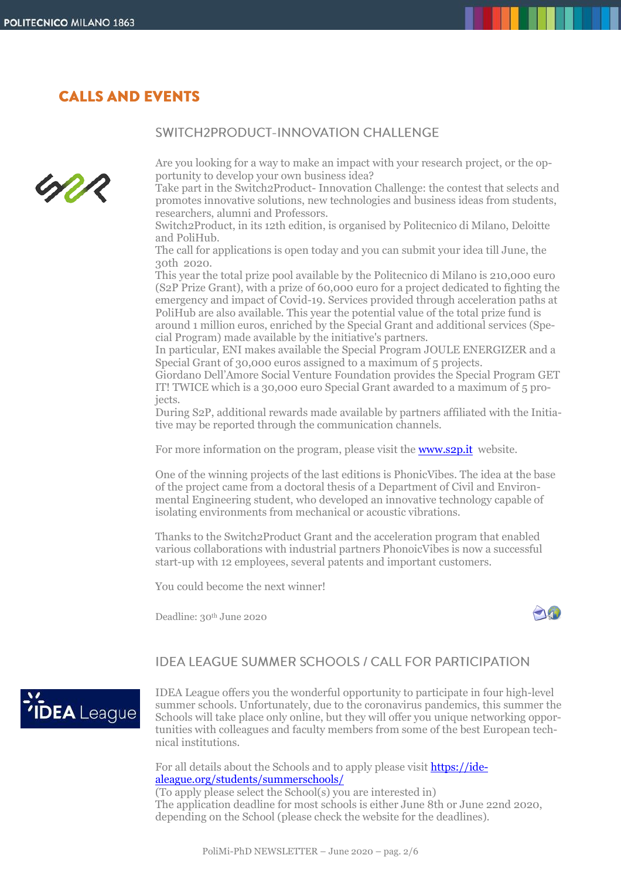### **CALLS AND EVENTS**

### SWITCH2PRODUCT-INNOVATION CHALLENGE



Are you looking for a way to make an impact with your research project, or the opportunity to develop your own business idea?

Take part in the Switch2Product- Innovation Challenge: the contest that selects and promotes innovative solutions, new technologies and business ideas from students, researchers, alumni and Professors.

Switch2Product, in its 12th edition, is organised by Politecnico di Milano, Deloitte and PoliHub.

The call for applications is open today and you can submit your idea till June, the 30th 2020.

This year the total prize pool available by the Politecnico di Milano is 210,000 euro (S2P Prize Grant), with a prize of 60,000 euro for a project dedicated to fighting the emergency and impact of Covid-19. Services provided through acceleration paths at PoliHub are also available. This year the potential value of the total prize fund is around 1 million euros, enriched by the Special Grant and additional services (Special Program) made available by the initiative's partners.

In particular, ENI makes available the Special Program JOULE ENERGIZER and a Special Grant of 30,000 euros assigned to a maximum of 5 projects.

Giordano Dell'Amore Social Venture Foundation provides the Special Program GET IT! TWICE which is a 30,000 euro Special Grant awarded to a maximum of 5 projects.

During S2P, additional rewards made available by partners affiliated with the Initiative may be reported through the communication channels.

For more information on the program, please visit the **www.s2p.it** website.

One of the winning projects of the last editions is PhonicVibes. The idea at the base of the project came from a doctoral thesis of a Department of Civil and Environmental Engineering student, who developed an innovative technology capable of isolating environments from mechanical or acoustic vibrations.

Thanks to the Switch2Product Grant and the acceleration program that enabled various collaborations with industrial partners PhonoicVibes is now a successful start-up with 12 employees, several patents and important customers.

You could become the next winner!

Deadline: 30<sup>th</sup> June 2020



### **IDEA LEAGUE SUMMER SCHOOLS / CALL FOR PARTICIPATION**



IDEA League offers you the wonderful opportunity to participate in four high-level summer schools. Unfortunately, due to the coronavirus pandemics, this summer the Schools will take place only online, but they will offer you unique networking opportunities with colleagues and faculty members from some of the best European technical institutions.

For all details about the Schools and to apply please visit **https://ide**[aleague.org/students/summerschools/](https://idealeague.org/students/summerschools/)

(To apply please select the School(s) you are interested in) The application deadline for most schools is either June 8th or June 22nd 2020, depending on the School (please check the website for the deadlines).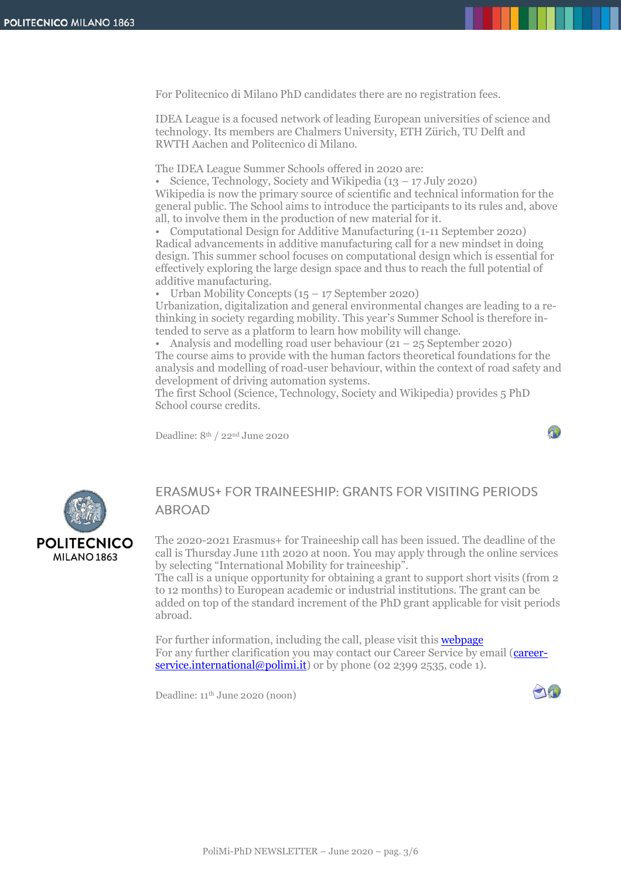For Politecnico di Milano PhD candidates there are no registration fees.

IDEA League is a focused network of leading European universities of science and technology. Its members are Chalmers University, ETH Zürich, TU Delft and RWTH Aachen and Politecnico di Milano.

The IDEA League Summer Schools offered in 2020 are:

• Science, Technology, Society and Wikipedia (13 – 17 July 2020) Wikipedia is now the primary source of scientific and technical information for the general public. The School aims to introduce the participants to its rules and, above all, to involve them in the production of new material for it.

• Computational Design for Additive Manufacturing (1-11 September 2020) Radical advancements in additive manufacturing call for a new mindset in doing design. This summer school focuses on computational design which is essential for effectively exploring the large design space and thus to reach the full potential of additive manufacturing.

• Urban Mobility Concepts  $(15 - 17$  September 2020)

Urbanization, digitalization and general environmental changes are leading to a rethinking in society regarding mobility. This year's Summer School is therefore intended to serve as a platform to learn how mobility will change.

• Analysis and modelling road user behaviour (21 – 25 September 2020) The course aims to provide with the human factors theoretical foundations for the analysis and modelling of road-user behaviour, within the context of road safety and development of driving automation systems.

The first School (Science, Technology, Society and Wikipedia) provides 5 PhD School course credits.

Deadline: 8th / 22nd June 2020





### **ERASMUS+ FOR TRAINEESHIP: GRANTS FOR VISITING PERIODS ABROAD**

The 2020-2021 Erasmus+ for Traineeship call has been issued. The deadline of the call is Thursday June 11th 2020 at noon. You may apply through the online services by selecting "International Mobility for traineeship".

The call is a unique opportunity for obtaining a grant to support short visits (from 2 to 12 months) to European academic or industrial institutions. The grant can be added on top of the standard increment of the PhD grant applicable for visit periods abroad.

For further information, including the call, please visit this **[webpage](https://cm.careerservice.polimi.it/en/career-program/erasmus-for-traineeship-en/)** For any further clarification you may contact our Career Service by email [\(career](mailto:careerservice.international@polimi.it)[service.international@polimi.it\)](mailto:careerservice.international@polimi.it) or by phone (02 2399 2535, code 1).

Deadline: 11th June 2020 (noon)

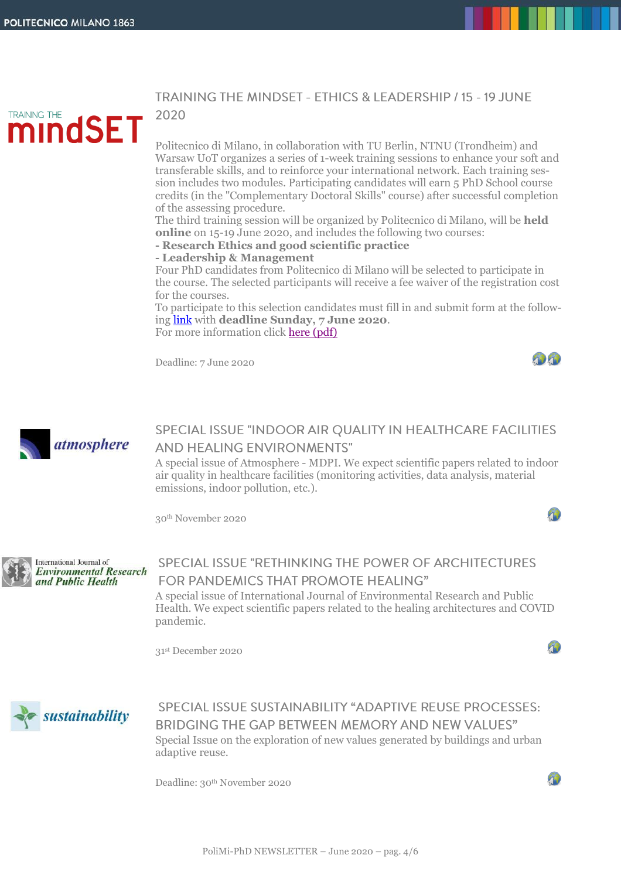mindSET

**TRAINING THE** 

### TRAINING THE MINDSET - ETHICS & LEADERSHIP / 15 - 19 JUNE 2020

Politecnico di Milano, in collaboration with TU Berlin, NTNU (Trondheim) and Warsaw UoT organizes a series of 1-week training sessions to enhance your soft and transferable skills, and to reinforce your international network. Each training session includes two modules. Participating candidates will earn 5 PhD School course credits (in the "Complementary Doctoral Skills" course) after successful completion of the assessing procedure.

The third training session will be organized by Politecnico di Milano, will be **held online** on 15-19 June 2020, and includes the following two courses:

**- Research Ethics and good scientific practice**

**- Leadership & Management**

Four PhD candidates from Politecnico di Milano will be selected to participate in the course. The selected participants will receive a fee waiver of the registration cost for the courses.

To participate to this selection candidates must fill in and submit form at the following [link](https://forms.office.com/Pages/ResponsePage.aspx?id=K3EXCvNtXUKAjjCd8ope6xol9bKvH_JDtRTv3iR88zVUMElRMVlZUzg0VlZZTEYxNjcyVUZON01YSi4u) with **deadline Sunday, 7 June 2020**. For more information click [here \(pdf\)](http://www.dottorato.polimi.it/fileadmin/files/dottorato/newsletter/allegati/2020_06/Training_the_mindset_-_June_2020.pdf)

Deadline: 7 June 2020



90

40



# SPECIAL ISSUE "INDOOR AIR QUALITY IN HEALTHCARE FACILITIES **AND HEALING ENVIRONMENTS"**

A special issue of Atmosphere - MDPI. We expect scientific papers related to indoor air quality in healthcare facilities (monitoring activities, data analysis, material emissions, indoor pollution, etc.).

30th November 2020



#### International Journal of **Environmental Research** and Public Health

# SPECIAL ISSUE "RETHINKING THE POWER OF ARCHITECTURES **FOR PANDEMICS THAT PROMOTE HEALING"**

A special issue of International Journal of Environmental Research and Public Health. We expect scientific papers related to the healing architectures and COVID pandemic.

31 st December 2020



SPECIAL ISSUE SUSTAINABILITY "ADAPTIVE REUSE PROCESSES: BRIDGING THE GAP BETWEEN MEMORY AND NEW VALUES" Special Issue on the exploration of new values generated by buildings and urban adaptive reuse.

Deadline: 30th November 2020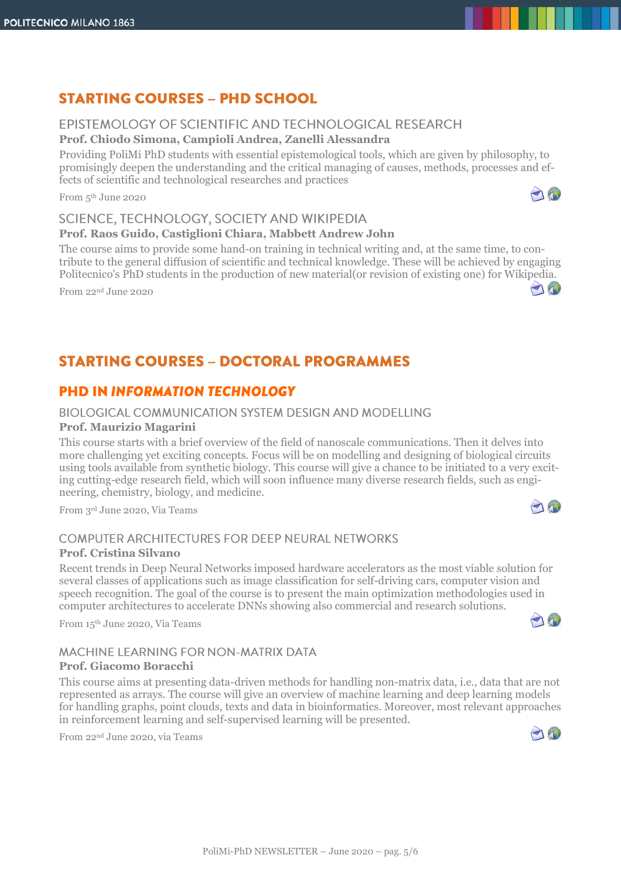# **STARTING COURSES - PHD SCHOOL**

### EPISTEMOLOGY OF SCIENTIFIC AND TECHNOLOGICAL RESEARCH

**Prof. Chiodo Simona, Campioli Andrea, Zanelli Alessandra**

Providing PoliMi PhD students with essential epistemological tools, which are given by philosophy, to promisingly deepen the understanding and the critical managing of causes, methods, processes and effects of scientific and technological researches and practices

From 5 th June 2020

### SCIENCE, TECHNOLOGY, SOCIETY AND WIKIPEDIA

#### **Prof. Raos Guido, Castiglioni Chiara, Mabbett Andrew John**

The course aims to provide some hand-on training in technical writing and, at the same time, to contribute to the general diffusion of scientific and technical knowledge. These will be achieved by engaging Politecnico's PhD students in the production of new material(or revision of existing one) for Wikipedia.

From 22nd June 2020

# **STARTING COURSES - DOCTORAL PROGRAMMES**

### **PHD IN INFORMATION TECHNOLOGY**

### BIOLOGICAL COMMUNICATION SYSTEM DESIGN AND MODELLING

#### **Prof. Maurizio Magarini**

This course starts with a brief overview of the field of nanoscale communications. Then it delves into more challenging yet exciting concepts. Focus will be on modelling and designing of biological circuits using tools available from synthetic biology. This course will give a chance to be initiated to a very exciting cutting-edge research field, which will soon influence many diverse research fields, such as engineering, chemistry, biology, and medicine.

From 3rd June 2020, Via Teams

### **COMPUTER ARCHITECTURES FOR DEEP NEURAL NETWORKS Prof. Cristina Silvano**

Recent trends in Deep Neural Networks imposed hardware accelerators as the most viable solution for several classes of applications such as image classification for self-driving cars, computer vision and speech recognition. The goal of the course is to present the main optimization methodologies used in computer architectures to accelerate DNNs showing also commercial and research solutions.

From 15 th June 2020, Via Teams

#### MACHINE LEARNING FOR NON-MATRIX DATA **Prof. Giacomo Boracchi**

This course aims at presenting data-driven methods for handling non-matrix data, i.e., data that are not represented as arrays. The course will give an overview of machine learning and deep learning models for handling graphs, point clouds, texts and data in bioinformatics. Moreover, most relevant approaches in reinforcement learning and self-supervised learning will be presented.

From 22nd June 2020, via Teams





AN



AO